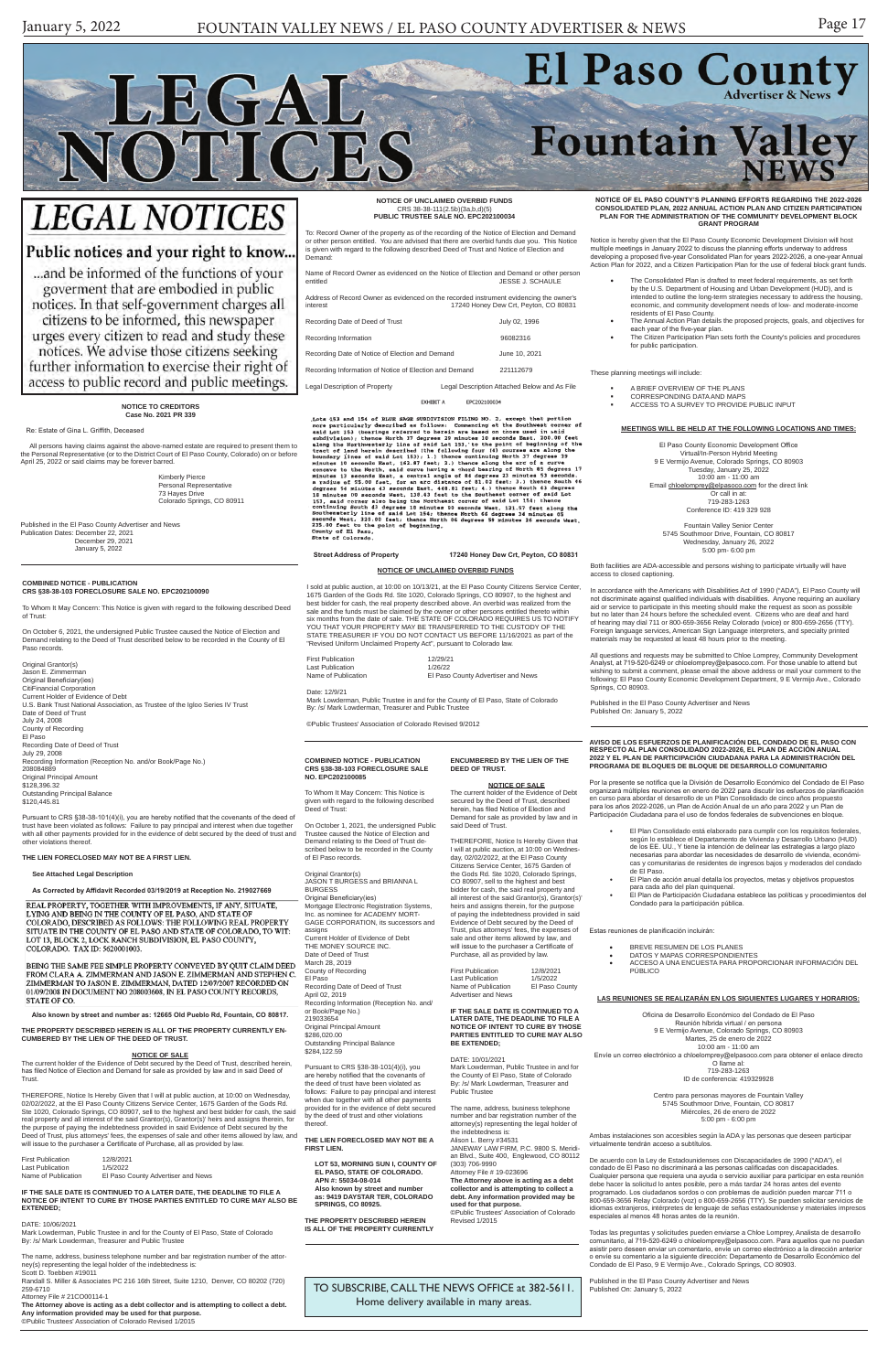# El Paso County LEGAL **Fountain Valley** NOTICES

# **LEGAL NOTICES**

## Public notices and your right to know..

... and be informed of the functions of your goverment that are embodied in public notices. In that self-government charges all citizens to be informed, this newspaper urges every citizen to read and study these notices. We advise those citizens seeking further information to exercise their right of access to public record and public meetings.

> TO SUBSCRIBE, CALL THE NEWS OFFICE at 382-5611. Home delivery available in many areas.

**COMBINED NOTICE - PUBLICATION CRS §38-38-103 FORECLOSURE SALE NO. EPC202100085**

To Whom It May Concern: This Notice is given with regard to the following described Deed of Trust:

On October 1, 2021, the undersigned Public Trustee caused the Notice of Election and Demand relating to the Deed of Trust described below to be recorded in the County of El Paso records.

Pursuant to CRS §38-38-101(4)(i), you<br>are hereby notified that the covenants of are hereby notified that the covenants of the deed of trust have been violated as follows: Failure to pay principal and interest when due together with all other payments provided for in the evidence of debt secured by the deed of trust and other violations thereof.

Original Grantor(s) JASON T BURGESS and BRIANNA L BURGESS Original Beneficiary(ies) Mortgage Electronic Registration Systems, Inc. as nominee for ACADEMY MORT-GAGE CORPORATION, its successors and assigns Current Holder of Evidence of Debt THE MONEY SOURCE INC. Date of Deed of Trust March 28, 2019 County of Recording El Paso

Recording Date of Deed of Trust April 02, 2019 Recording Information (Reception No. and/

or Book/Page No.) 219033654 Original Principal Amount \$286,020.00 Outstanding Principal Balance \$284,122.59

First Publication 12/8/2021<br>Last Publication 1/5/2022 Last Publication 1/5/2022 Name of Publication Advertiser and News

**THE LIEN FORECLOSED MAY NOT BE A FIRST LIEN.**

**LOT 53, MORNING SUN I, COUNTY OF EL PASO, STATE OF COLORADO. APN #: 55034-08-014** Also known by street and number **as: 9419 DAYSTAR TER, COLORADO SPRINGS, CO 80925.**

**THE PROPERTY DESCRIBED HEREIN IS ALL OF THE PROPERTY CURRENTLY**  The name, address, business telephone number and bar registration number of the attorney(s) representing the legal holder of the indebtedness is: Alison L. Berry #34531 JANEWAY LAW FIRM, P.C. 9800 S. Meridian Blvd., Suite 400, Englewood, CO 80112 (303) 706-9990 Attorney File # 19-023696 **The Attorney above is acting as a debt** 

## **ENCUMBERED BY THE LIEN OF THE**

**NOTICE OF SALE**<br>The current holder of the Evidence of Debt<br>secured by the Deed of Trust, described

**DEED OF TRUST.**

herein, has filed Notice of Election and Demand for sale as provided by law and in said Deed of Trust. THEREFORE, Notice Is Hereby Given that I will at public auction, at 10:00 on Wednes-day, 02/02/2022, at the El Paso County

Citizens Service Center, 1675 Garden of the Gods Rd. Ste 1020, Colorado Springs, CO 80907, sell to the highest and best bidder for cash, the said real property and all interest of the said Grantor(s), Grantor(s)' heirs and assigns therein, for the purpose of paying the indebtedness provided in said Evidence of Debt secured by the Deed of Trust, plus attorneys' fees, the expenses of sale and other items allowed by law, and will issue to the purchaser a Certificate of Purchase, all as provided by law.

#### **IF THE SALE DATE IS CONTINUED TO A LATER DATE, THE DEADLINE TO FILE A NOTICE OF INTENT TO CURE BY THOSE PARTIES ENTITLED TO CURE MAY ALSO BE EXTENDED;**

DATE: 10/01/2021

Mark Lowderman, Public Trustee in and for the County of El Paso, State of Colorado By: /s/ Mark Lowderman, Treasurer and Public Trustee

**collector and is attempting to collect a debt. Any information provided may be used for that purpose.** ©Public Trustees' Association of Colorado

Revised 1/2015

#### **COMBINED NOTICE - PUBLICATION CRS §38-38-103 FORECLOSURE SALE NO. EPC202100090**

To Whom It May Concern: This Notice is given with regard to the following described Deed of Trust:

On October 6, 2021, the undersigned Public Trustee caused the Notice of Election and Demand relating to the Deed of Trust described below to be recorded in the County of El Paso records.

Original Grantor(s) Jason E. Zimmerman Original Beneficiary(ies) CitiFinancial Corporation Current Holder of Evidence of Debt U.S. Bank Trust National Association, as Trustee of the Igloo Series IV Trust Date of Deed of Trust July 24, 2008 County of Recording El Paso Recording Date of Deed of Trust July 29, 2008 Recording Information (Reception No. and/or Book/Page No.) 208084889 Original Principal Amount \$128,396.32 Outstanding Principal Balance \$120,445.81

Pursuant to CRS §38-38-101(4)(i), you are hereby notified that the covenants of the deed of trust have been violated as follows: Failure to pay principal and interest when due together with all other payments provided for in the evidence of debt secured by the deed of trust and other violations thereof.

**THE LIEN FORECLOSED MAY NOT BE A FIRST LIEN.**

#### **See Attached Legal Description**

**As Corrected by Affidavit Recorded 03/19/2019 at Reception No. 219027669**

REAL PROPERTY, TOGETHER WITH IMPROVEMENTS, IF ANY, SITUATE, LYING AND BEING IN THE COUNTY OF EL PASO, AND STATE OF COLORADO, DESCRIBED AS FOLLOWS: THE FOLLOWING REAL PROPERTY SITUATE IN THE COUNTY OF EL PASO AND STATE OF COLORADO, TO WIT: LOT 13, BLOCK 2, LOCK RANCH SUBDIVISION, EL PASO COUNTY, COLORADO. TAX ID: 5620001003.

BEING THE SAME FEE SIMPLE PROPERTY CONVEYED BY QUIT CLAIM DEED FROM CLARA A. ZIMMERMAN AND JASON E. ZIMMERMAN AND STEPHEN C. ZIMMERMAN TO JASON E. ZIMMERMAN, DATED 12/07/2007 RECORDED ON 01/09/2008 IN DOCUMENT NO 208003608, IN EL PASO COUNTY RECORDS, STATE OF CO.

**Also known by street and number as: 12665 Old Pueblo Rd, Fountain, CO 80817.**

#### **THE PROPERTY DESCRIBED HEREIN IS ALL OF THE PROPERTY CURRENTLY EN-CUMBERED BY THE LIEN OF THE DEED OF TRUST.**

#### **NOTICE OF SALE**

The current holder of the Evidence of Debt secured by the Deed of Trust, described herein, has filed Notice of Election and Demand for sale as provided by law and in said Deed of Trust.

- BREVE RESUMEN DE LOS PLANES
- DATOS Y MAPAS CORRESPONDIENTES
- ACCESO A UNA ENCUESTA PARA PROPORCIONAR INFORMACIÓN DEL PÚBLICO

THEREFORE, Notice Is Hereby Given that I will at public auction, at 10:00 on Wednesday, 02/02/2022, at the El Paso County Citizens Service Center, 1675 Garden of the Gods Rd. Ste 1020, Colorado Springs, CO 80907, sell to the highest and best bidder for cash, the said real property and all interest of the said Grantor(s), Grantor(s)' heirs and assigns therein, for the purpose of paying the indebtedness provided in said Evidence of Debt secured by the Deed of Trust, plus attorneys' fees, the expenses of sale and other items allowed by law, and will issue to the purchaser a Certificate of Purchase, all as provided by law.

| <b>First Publication</b> | 12/8/2021                          |
|--------------------------|------------------------------------|
| Last Publication         | 1/5/2022                           |
| Name of Publication      | El Paso County Advertiser and News |

#### **IF THE SALE DATE IS CONTINUED TO A LATER DATE, THE DEADLINE TO FILE A NOTICE OF INTENT TO CURE BY THOSE PARTIES ENTITLED TO CURE MAY ALSO BE EXTENDED;**

#### DATE: 10/06/2021

Mark Lowderman, Public Trustee in and for the County of El Paso, State of Colorado By: /s/ Mark Lowderman, Treasurer and Public Trustee

The name, address, business telephone number and bar registration number of the attorney(s) representing the legal holder of the indebtedness is:

Scott D. Toebben #19011

Randall S. Miller & Associates PC 216 16th Street, Suite 1210, Denver, CO 80202 (720) 259-6710

Attorney File # 21CO00114-1

**The Attorney above is acting as a debt collector and is attempting to collect a debt.** 

**Any information provided may be used for that purpose.** ©Public Trustees' Association of Colorado Revised 1/2015

**NOTICE TO CREDITORS Case No. 2021 PR 339**

Re: Estate of Gina L. Griffith, Dec

- The Consolidated Plan is drafted to meet federal requirements, as set forth by the U.S. Department of Housing and Urban Development (HUD), and is intended to outline the long-term strategies necessary to address the housing, economic, and community development needs of low- and moderate-income residents of El Paso County.
- The Annual Action Plan details the proposed projects, goals, and objectives for each year of the five-year plan. • The Citizen Participation Plan sets forth the County's policies and procedures
- for public participation.

 All persons having claims against the above-named estate are required to present them to the Personal Representative (or to the District Court of El Paso County, Colorado) on or before April 25, 2022 or said claims may be forever barred.

> Kimberly Pierce Personal Representative 73 Hayes Drive Colorado Springs, CO 80911

Published in the El Paso County Advertiser and News Publication Dates: December 22, 2021 December 29, 2021 January 5, 2022

**NOTICE OF UNCLAIMED OVERBID FUNDS** CRS 38-38-111(2.5b)(3a,b,d)(5) **PUBLIC TRUSTEE SALE NO. EPC202100034**

To: Record Owner of the property as of the recording of the Notice of Election and Demand or other person entitled. You are advised that there are overbid funds due you. This Notice is given with regard to the following described Deed of Trust and Notice of Election and Demand:

Name of Record Owner as evidenced on the Notice of Election and Demand or other person<br>
UESSE J. SCHAULE JESSE J. SCHAULE

Address of Record Owner as evidenced on the recorded instrument evidencing the owner's interest 17240 Honey Dew Crt, Peyton, CO 80831

| Recording Date of Deed of Trust                        |  | July 02, 1996                                |
|--------------------------------------------------------|--|----------------------------------------------|
| Recording Information                                  |  | 96082316                                     |
| Recording Date of Notice of Election and Demand        |  | June 10, 2021                                |
| Recording Information of Notice of Election and Demand |  | 221112679                                    |
| Legal Description of Property                          |  | Legal Description Attached Below and As File |

EXHIBIT A EPC202100034

EXTREMIN FRAMENT EXTREMINATION PILING AND EXPLOITIONS.<br>
LEAD EXPLOITION INTO NO. 2, except that portion<br>
scontinues particularly described as follows: Communicing at the Southwest corner of<br>
said Lot 153 (bearings referre

 **Street Address of Property 17240 Honey Dew Crt, Peyton, CO 80831**

**NOTICE OF UNCLAIMED OVERBID FUNDS**

I sold at public auction, at 10:00 on 10/13/21, at the El Paso County Citizens Service Center, 1675 Garden of the Gods Rd. Ste 1020, Colorado Springs, CO 80907, to the highest and best bidder for cash, the real property described above. An overbid was realized from the sale and the funds must be claimed by the owner or other persons entitled thereto within<br>six months from the date of sale. THE STATE OF COLORADO REQUIRES US TO NOTIFY<br>YOU THAT YOUR PROPERTY MAY BE TRANSFERRED TO THE CUSTOD STATE TREASURER IF YOU DO NOT CONTACT US BEFORE 11/16/2021 as part of the "Revised Uniform Unclaimed Property Act", pursuant to Colorado law.

| <b>First Publication</b> | 12/29/21                                                                      |  |
|--------------------------|-------------------------------------------------------------------------------|--|
| Last Publication         | 1/26/22                                                                       |  |
| Name of Publication      | El Paso County Advertiser and News                                            |  |
| Date: 12/9/21            | Mark Lowderman, Public Trustee in and for the County of El Paso, State of Col |  |

Mark Lowderman, Public Trustee in and for the County of El Paso, State of Colorado By: /s/ Mark Lowderman, Treasurer and Public Trustee

©Public Trustees' Association of Colorado Revised 9/2012

**AVISO DE LOS ESFUERZOS DE PLANIFICACIÓN DEL CONDADO DE EL PASO CON RESPECTO AL PLAN CONSOLIDADO 2022-2026, EL PLAN DE ACCIÓN ANUAL 2022 Y EL PLAN DE PARTICIPACIÓN CIUDADANA PARA LA ADMINISTRACIÓN DEL PROGRAMA DE BLOQUES DE BLOQUE DE DESARROLLO COMUNITARIO**

Por la presente se notifica que la División de Desarrollo Económico del Condado de El Paso organizará múltiples reuniones en enero de 2022 para discutir los esfuerzos de planificación en curso para abordar el desarrollo de un Plan Consolidado de cinco años propuesto para los años 2022-2026, un Plan de Acción Anual de un año para 2022 y un Plan de Participación Ciudadana para el uso de fondos federales de subvenciones en bloque.

- El Plan Consolidado está elaborado para cumplir con los requisitos federales, según lo establece el Departamento de Vivienda y Desarrollo Urbano (HUD) de los EE. UU., Y tiene la intención de delinear las estrategias a largo plazo necesarias para abordar las necesidades de desarrollo de vivienda, económicas y comunitarias de residentes de ingresos bajos y moderados del condado de El Paso.
- El Plan de acción anual detalla los proyectos, metas y objetivos propuestos
- para cada año del plan quinquenal. El Plan de Participación Ciudadana establece las políticas y procedimientos del Condado para la participación pública.

Estas reuniones de planificación incluirán:

**LAS REUNIONES SE REALIZARÁN EN LOS SIGUIENTES LUGARES Y HORARIOS:**

Oficina de Desarrollo Económico del Condado de El Paso Reunión híbrida virtual / en persona 9 E Vermijo Avenue, Colorado Springs, CO 80903 Martes, 25 de enero de 2022 10:00 am - 11:00 am Envíe un correo electrónico a chloelomprey@elpasoco.com para obtener el enlace directo O llame al: 719-283-1263

ID de conferencia: 419329928

Centro para personas mayores de Fountain Valley 5745 Southmoor Drive, Fountain, CO 80817 Miércoles, 26 de enero de 2022 5:00 pm - 6:00 pm

Ambas instalaciones son accesibles según la ADA y las personas que deseen participar virtualmente tendrán acceso a subtítulos.

De acuerdo con la Ley de Estadounidenses con Discapacidades de 1990 ("ADA"), el condado de El Paso no discriminará a las personas calificadas con discapacidades. Cualquier persona que requiera una ayuda o servicio auxiliar para participar en esta reunión debe hacer la solicitud lo antes posible, pero a más tardar 24 horas antes del evento programado. Los ciudadanos sordos o con problemas de audición pueden marcar 711 o 800-659-3656 Relay Colorado (voz) o 800-659-2656 (TTY). Se pueden solicitar servicios de idiomas extranjeros, intérpretes de lenguaje de señas estadounidense y materiales impresos especiales al menos 48 horas antes de la reunión.

Todas las preguntas y solicitudes pueden enviarse a Chloe Lomprey, Analista de desarrollo comunitario, al 719-520-6249 o chloelomprey@elpasoco.com. Para aquellos que no puedan asistir pero deseen enviar un comentario, envíe un correo electrónico a la dirección anterior o envíe su comentario a la siguiente dirección: Departamento de Desarrollo Económico del Condado de El Paso, 9 E Vermijo Ave., Colorado Springs, CO 80903.

Published in the El Paso County Advertiser and News Published On: January 5, 2022

**NOTICE OF EL PASO COUNTY'S PLANNING EFFORTS REGARDING THE 2022-2026 CONSOLIDATED PLAN, 2022 ANNUAL ACTION PLAN AND CITIZEN PARTICIPATION PLAN FOR THE ADMINISTRATION OF THE COMMUNITY DEVELOPMENT BLOCK GRANT PROGRAM**

Notice is hereby given that the El Paso County Economic Development Division will host multiple meetings in January 2022 to discuss the planning efforts underway to address developing a proposed five-year Consolidated Plan for years 2022-2026, a one-year Annual Action Plan for 2022, and a Citizen Participation Plan for the use of federal block grant funds.

These planning meetings will include:

- A BRIEF OVERVIEW OF THE PLANS CORRESPONDING DATA AND MAPS
- ACCESS TO A SURVEY TO PROVIDE PUBLIC INPUT

#### **MEETINGS WILL BE HELD AT THE FOLLOWING LOCATIONS AND TIMES:**

El Paso County Economic Development Office Virtual/In-Person Hybrid Meeting 9 E Vermijo Avenue, Colorado Springs, CO 80903 Tuesday, January 25, 2022 10:00 am - 11:00 am Email chloelomprey@elpasoco.com for the direct link Or call in at: 719-283-1263 Conference ID: 419 329 928

Fountain Valley Senior Center 5745 Southmoor Drive, Fountain, CO 80817 Wednesday, January 26, 2022 5:00 pm- 6:00 pm

Both facilities are ADA-accessible and persons wishing to participate virtually will have access to closed captioning.

In accordance with the Americans with Disabilities Act of 1990 ("ADA"), El Paso County will not discriminate against qualified individuals with disabilities. Anyone requiring an auxiliary aid or service to participate in this meeting should make the request as soon as possible but no later than 24 hours before the scheduled event. Citizens who are deaf and hard of hearing may dial 711 or 800-659-3656 Relay Colorado (voice) or 800-659-2656 (TTY). Foreign language services, American Sign Language interpreters, and specialty printed materials may be requested at least 48 hours prior to the meeting.

All questions and requests may be submitted to Chloe Lomprey, Community Development Analyst, at 719-520-6249 or chloelomprey@elpasoco.com. For those unable to attend but wishing to submit a comment, please email the above address or mail your comment to the following: El Paso County Economic Development Department, 9 E Vermijo Ave., Colorado Springs, CO 80903.

Published in the El Paso County Advertiser and News Published On: January 5, 2022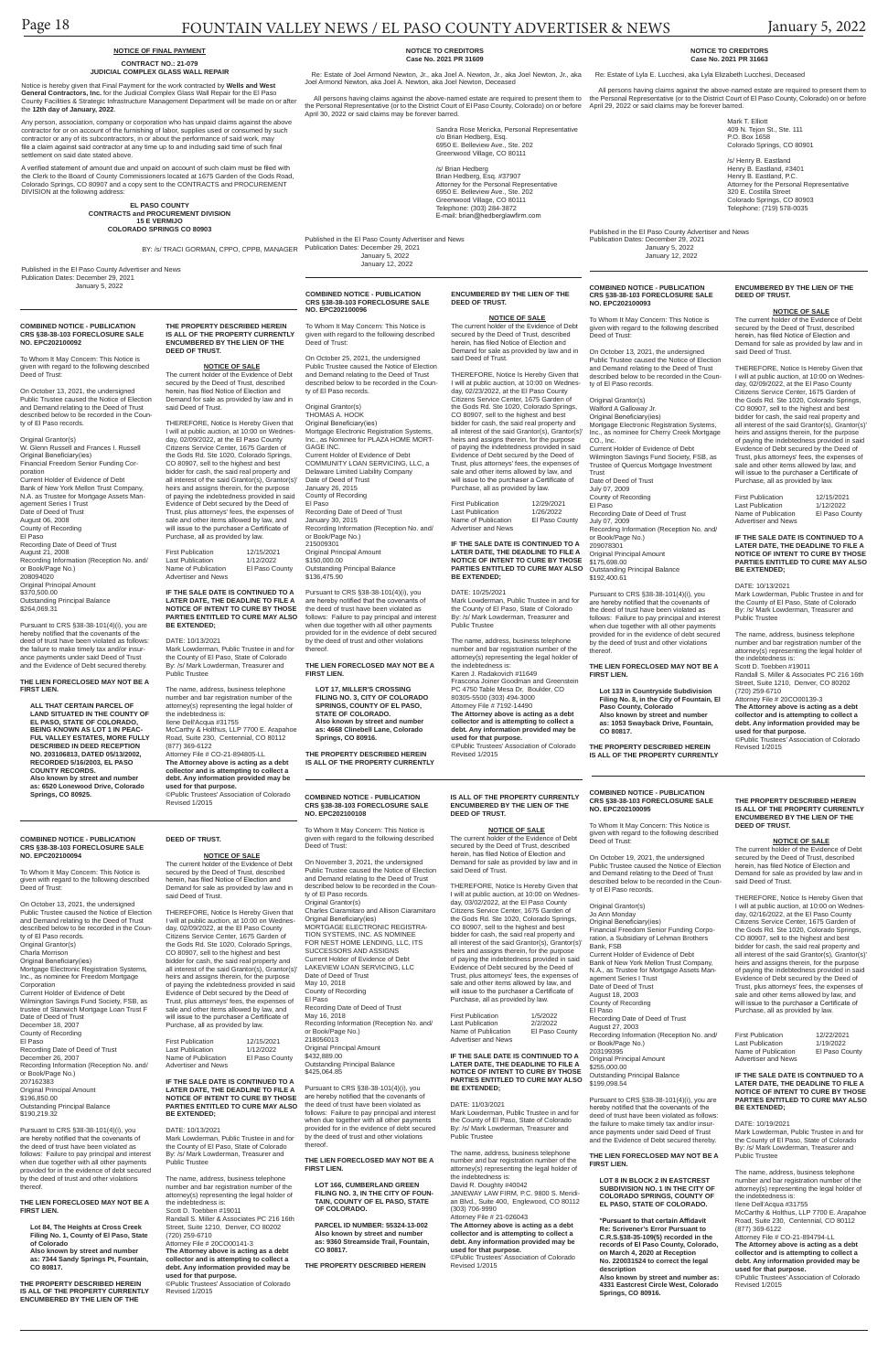#### **COMBINED NOTICE - PUBLICATION CRS §38-38-103 FORECLOSURE SALE NO. EPC202100092**

To Whom It May Concern: This Notice is given with regard to the following described Deed of Trust:

On October 13, 2021, the undersigned Public Trustee caused the Notice of Election and Demand relating to the Deed of Trust described below to be recorded in the County of El Paso records.

Original Grantor(s) W. Glenn Russell and Frances I. Russell Original Beneficiary(ies) Financial Freedom Senior Funding Corporation .<br>Current Holder of Evidence of Debt Bank of New York Mellon Trust Company, N.A. as Trustee for Mortgage Assets Management Series I Trust Date of Deed of Trust August 06, 2008 County of Recording El Paso Recording Date of Deed of Trust August 21, 2008 Recording Information (Reception No. and/ or Book/Page No.) 208094020 Original Principal Amount \$370,500.00

Outstanding Principal Balance \$264,069.31

Pursuant to CRS §38-38-101(4)(i), you are hereby notified that the covenants of the deed of trust have been violated as follows: the failure to make timely tax and/or insurance payments under said Deed of Trust and the Evidence of Debt secured thereby.

#### **THE LIEN FORECLOSED MAY NOT BE A FIRST LIEN.**

First Publication 12/15/2021<br>Last Publication 1/12/2022 Last Publication 1/12/2022 East Fabrication<br>Name of Publication Advertiser and News

**ALL THAT CERTAIN PARCEL OF LAND SITUATED IN THE COUNTY OF EL PASO, STATE OF COLORADO, BEING KNOWN AS LOT 1 IN PEAC-FUL VALLEY ESTATES, MORE FULLY DESCRIBED IN DEED RECEPTION NO. 203106813, DATED 05/13/2002, RECORDED 5/16/2003, EL PASO COUNTY RECORDS. Also known by street and number as: 6520 Lonewood Drive, Colorado Springs, CO 80925.**

**THE PROPERTY DESCRIBED HEREIN IS ALL OF THE PROPERTY CURRENTLY ENCUMBERED BY THE LIEN OF THE DEED OF TRUST.**

**NOTICE OF SALE** The current holder of the Evidence of Debt secured by the Deed of Trust, described herein, has filed Notice of Election and Demand for sale as provided by law and in said Deed of Trust.

rustee of Stanwich Mortgage Loan Trust Date of Deed of Trust December 18, 2007 County of Recording El Paso Recording Date of Deed of Trust December 26, 2007 Recording Information (Reception No. and/ or Book/Page No.) 207162383 Original Principal Amount \$196,850.00 Outstanding Principal Balance \$190,219.32

THEREFORE, Notice Is Hereby Given that I will at public auction, at 10:00 on Wednesday, 02/09/2022, at the El Paso County Citizens Service Center, 1675 Garden of the Gods Rd. Ste 1020, Colorado Springs, CO 80907, sell to the highest and best bidder for cash, the said real property and all interest of the said Grantor(s), Grantor(s)' heirs and assigns therein, for the purpose of paying the indebtedness provided in said Evidence of Debt secured by the Deed of Trust, plus attorneys' fees, the expenses of sale and other items allowed by law, and will issue to the purchaser a Certificate of Purchase, all as provided by law.

#### **IF THE SALE DATE IS CONTINUED TO A LATER DATE, THE DEADLINE TO FILE A NOTICE OF INTENT TO CURE BY THOSE PARTIES ENTITLED TO CURE MAY ALSO BE EXTENDED;**

DATE: 10/13/2021 Mark Lowderman, Public Trustee in and for the County of El Paso, State of Colorado By: /s/ Mark Lowderman, Treasurer and Public Trustee

First Publication 12/15/2021<br>Last Publication 1/12/2022 Last Publication 1/12/2022<br>Name of Publication El Paso County Name of Publication Advertiser and News

The name, address, business telephone number and bar registration number of the attorney(s) representing the legal holder of the indebtedness is: Ilene Dell'Acqua #31755 McCarthy & Holthus, LLP 7700 E. Arapahoe Road, Suite 230, Centennial, CO 80112 (877) 369-6122 Attorney File # CO-21-894805-LL **The Attorney above is acting as a debt collector and is attempting to collect a debt. Any information provided may be** 

The name, address, business telephone number and bar registration number of the attorney(s) representing the legal holder of the indebtedness is: Scott D. Toebben #19011 Randall S. Miller & Associates PC 216 16th Street, Suite 1210, Denver, CO 80202 (720) 259-6710 Attorney File # 20CO00141-3 **The Attorney above is acting as a debt collector and is attempting to collect a debt. Any information provided may be used for that purpose.**

**used for that purpose.** ©Public Trustees' Association of Colorado Revised 1/2015

#### **COMBINED NOTICE - PUBLICATION CRS §38-38-103 FORECLOSURE SALE NO. EPC202100094**

To Whom It May Concern: This Notice is given with regard to the following described Deed of Trust:

On October 13, 2021, the undersigned Public Trustee caused the Notice of Election and Demand relating to the Deed of Trust described below to be recorded in the County of El Paso records. Original Grantor(s) Charla Morrison Original Beneficiary(ies)

Mortgage Electronic Registration Systems, Inc., as nominee for Freedom Mortgage Corporation Current Holder of Evidence of Debt

Wilmington Savings Fund Society, FSB, as

Pursuant to CRS §38-38-101(4)(i), you are hereby notified that the covenants of the deed of trust have been violated as follows: Failure to pay principal and interest when due together with all other payments provided for in the evidence of debt secured by the deed of trust and other violations thereof.

#### **THE LIEN FORECLOSED MAY NOT BE A FIRST LIEN.**

First Publication 12/22/2021<br>Last Publication 1/19/2022 Last Publication 1/19/2022<br>Name of Publication El Paso County Name of Publication Advertiser and News

**Lot 84, The Heights at Cross Creek Filing No. 1, County of El Paso, State of Colorado Also known by street and number as: 7344 Sandy Springs Pt, Fountain, CO 80817.**

**THE PROPERTY DESCRIBED HEREIN IS ALL OF THE PROPERTY CURRENTLY ENCUMBERED BY THE LIEN OF THE** 

**DEED OF TRUST.**

#### **NOTICE OF SALE**

The current holder of the Evidence of Debt secured by the Deed of Trust, described herein, has filed Notice of Election and Demand for sale as provided by law and in said Deed of Trust.

THEREFORE, Notice Is Hereby Given that I will at public auction, at 10:00 on Wednes-day, 02/09/2022, at the El Paso County Citizens Service Center, 1675 Garden of the Gods Rd. Ste 1020, Colorado Springs, CO 80907, sell to the highest and best bidder for cash, the said real property and all interest of the said Grantor(s), Grantor(s)' heirs and assigns therein, for the purpose of paying the indebtedness provided in said Evidence of Debt secured by the Deed of Trust, plus attorneys' fees, the expenses of le and other items allowed by law, and will issue to the purchaser a Certificate of Purchase, all as provided by law.

**NOTICE OF SALE**<br>The current holder of the Evidence of Debt secured by the Deed of Trust, described herein, has filed Notice of Election and Demand for sale as provided by law and in

#### **IF THE SALE DATE IS CONTINUED TO A LATER DATE, THE DEADLINE TO FILE A NOTICE OF INTENT TO CURE BY THOSE PARTIES ENTITLED TO CURE MAY ALSO BE EXTENDED;**

#### DATE: 10/13/2021

Mark Lowderman, Public Trustee in and for the County of El Paso, State of Colorado By: /s/ Mark Lowderman, Treasurer and Public Trustee

©Public Trustees' Association of Colorado Revised 1/2015

#### **COMBINED NOTICE - PUBLICATION CRS §38-38-103 FORECLOSURE SALE NO. EPC202100095**

To Whom It May Concern: This Notice is given with regard to the following described Deed of Trust:

Original Grantor(s) THOMAS A. HOOK Original Beneficiary(ies) Mortgage Electronic Registration Systems, Inc., as Nominee for PLAZA HOME MORT-GAGE INC. Current Holder of Evidence of Debt COMMUNITY LOAN SERVICING, LLC, a Delaware Limited Liability Company Date of Deed of Trust January 26, 2015 County of Recording El Paso Recording Date of Deed of Trust January 30, 2015 Recording Information (Reception No. and/ or Book/Page No.) 215009301 Original Principal Amount \$150,000.00

> On October 19, 2021, the undersigned Public Trustee caused the Notice of Election and Demand relating to the Deed of Trust described below to be recorded in the County of El Paso records.

#### Original Grantor(s)

Jo Ann Monday Original Beneficiary(ies) Financial Freedom Senior Funding Corporation, a Subsidiary of Lehman Brothers Bank, FSB

Current Holder of Evidence of Debt Bank of New York Mellon Trust Company, N.A., as Trustee for Mortgage Assets Management Series I Trust

\$136,475.90 Pursuant to CRS §38-38-101(4)(i), you are hereby notified that the covenants of the deed of trust have been violated as follows: Failure to pay principal and interest when due together with all other payments provided for in the evidence of debt secured by the deed of trust and other violations

> Date of Deed of Trust August 18, 2003 County of Recording

El Paso Recording Date of Deed of Trust August 27, 2003 Recording Information (Reception No. and/ or Book/Page No.) 203199395 Original Principal Amount \$255,000.00 Outstanding Principal Balance \$199,098.54

**NOTICE OF SALE**<br>The current holder of the Evidence of Debt secured by the Deed of Trust, described herein, has filed Notice of Election and Demand for sale as provided by law and in said Deed of Trust.

> Pursuant to CRS §38-38-101(4)(i), you are hereby notified that the covenants of the deed of trust have been violated as follows: the failure to make timely tax and/or insurance payments under said Deed of Trust and the Evidence of Debt secured thereby.

#### **THE LIEN FORECLOSED MAY NOT BE A FIRST LIEN.**

**LOT 8 IN BLOCK 2 IN EASTCREST SUBDIVISION NO. 1 IN THE CITY OF COLORADO SPRINGS, COUNTY OF EL PASO, STATE OF COLORADO.** 

**\*Pursuant to that certain Affidavit Re: Scrivener's Error Pursuant to C.R.S.§38-35-109(5) recorded in the records of El Paso County, Colorado, on March 4, 2020 at Reception No. 220031524 to correct the legal description**

**Also known by street and number as: 4331 Eastcrest Circle West, Colorado Springs, CO 80916.**

**THE PROPERTY DESCRIBED HEREIN IS ALL OF THE PROPERTY CURRENTLY ENCUMBERED BY THE LIEN OF THE DEED OF TRUST.**

#### **NOTICE OF SALE**

Any person, association, company or corporation who has unpaid claims against the above contractor for or on account of the furnishing of labor, supplies used or consumed by such contractor or any of its subcontractors, in or about the performance of said work, may file a claim against said contractor at any time up to and including said time of such final settlement on said date stated above.

> The current holder of the Evidence of Debt secured by the Deed of Trust, described herein, has filed Notice of Election and Demand for sale as provided by law and in said Deed of Trust.

THEREFORE, Notice Is Hereby Given that I will at public auction, at 10:00 on Wednesday, 02/16/2022, at the El Paso County Citizens Service Center, 1675 Garden of the Gods Rd. Ste 1020, Colorado Springs, CO 80907, sell to the highest and best bidder for cash, the said real property and all interest of the said Grantor(s), Grantor(s)' heirs and assigns therein, for the purpose of paying the indebtedness provided in said Evidence of Debt secured by the Deed of Trust, plus attorneys' fees, the expenses of sale and other items allowed by law, and will issue to the purchaser a Certificate of Purchase, all as provided by law.

First Publication 12/29/2021<br>Last Publication 1/26/2022 Last Publication

 All persons having claims against the above-named estate are required to present them to All persons having claims against the above-named estate are required to present them to the Personal Representative (or to the District Court of El Paso County, Colorado) on or before

#### **IF THE SALE DATE IS CONTINUED TO A LATER DATE, THE DEADLINE TO FILE A NOTICE OF INTENT TO CURE BY THOSE PARTIES ENTITLED TO CURE MAY ALSO BE EXTENDED;**

#### DATE: 10/19/2021

the Personal Representative (or to the District Court of El Paso County, Colorado) on or before April 29, 2022 or said claims may be forever barred. April 30, 2022 or said claims may be forever barred.

> Mark Lowderman, Public Trustee in and for the County of El Paso, State of Colorado By: /s/ Mark Lowderman, Treasurer and Public Trustee

The name, address, business telephone number and bar registration number of the attorney(s) representing the legal holder of the indebtedness is: Ilene Dell'Acqua #31755 McCarthy & Holthus, LLP 7700 E. Arapahoe Road, Suite 230, Centennial, CO 80112 (877) 369-6122 Attorney File # CO-21-894794-LL **The Attorney above is acting as a debt collector and is attempting to collect a debt. Any information provided may be used for that purpose.** ©Public Trustees' Association of Colorado Revised 1/2015

## **COMBINED NOTICE - PUBLICATION CRS §38-38-103 FORECLOSURE SALE NO. EPC202100093**

To Whom It May Concern: This Notice is given with regard to the following described Deed of Trust:

On October 13, 2021, the undersigned Public Trustee caused the Notice of Election and Demand relating to the Deed of Trust ribed below to be recorded in the County of El Paso records.

Original Grantor(s) Walford A Galloway Jr. Original Beneficiary(ies) Mortgage Electronic Registration Systems, Inc., as nominee for Cherry Creek Mortgage CO., Inc.

Current Holder of Evidence of Debt Wilmington Savings Fund Society, FSB, as Trustee of Quercus Mortgage Investment

Trust Date of Deed of Trust July 07, 2009 County of Recording

El Paso Recording Date of Deed of Trust July 07, 2009 Recording Information (Reception No. and/ or Book/Page No.)

209078301 Original Principal Amount \$175,698.00 Outstanding Principal Balance \$192,400.61

First Publication 1/5/2022 Last Publication 2/2/2022<br>Name of Publication El Paso County Name of Publication Advertiser and News

Pursuant to CRS §38-38-101(4)(i), you are hereby notified that the covenants of the deed of trust have been violated as follows: Failure to pay principal and interest when due together with all other payments provided for in the evidence of debt secured by the deed of trust and other violations thereof.

**THE LIEN FORECLOSED MAY NOT BE A FIRST LIEN.**

**Lot 133 in Countryside Subdivision Filing No. 8, in the City of Fountain, El Paso County, Colorado Also known by street and number as: 1053 Swayback Drive, Fountain, CO 80817.**

**THE PROPERTY DESCRIBED HEREIN IS ALL OF THE PROPERTY CURRENTLY**  **ENCUMBERED BY THE LIEN OF THE** 

**DEED OF TRUST.**

said Deed of Trust.

THEREFORE, Notice Is Hereby Given that I will at public auction, at 10:00 on Wednes-day, 02/09/2022, at the El Paso County Citizens Service Center, 1675 Garden of the Gods Rd. Ste 1020, Colorado Springs, CO 80907, sell to the highest and best bidder for cash, the said real property and all interest of the said Grantor(s), Grantor(s)' heirs and assigns therein, for the purpose of paying the indebtedness provided in said Evidence of Debt secured by the Deed of Trust, plus attorneys' fees, the expenses of sale and other items allowed by law, and will issue to the purchaser a Certificate of Purchase, all as provided by law. First Publication 12/15/2021 Last Publication 1/12/2022<br>Name of Publication El Paso County Name of Publication El Paso County Advertiser and News **IF THE SALE DATE IS CONTINUED TO A LATER DATE, THE DEADLINE TO FILE A NOTICE OF INTENT TO CURE BY THOSE PARTIES ENTITLED TO CURE MAY ALSO** 

**BE EXTENDED;** DATE: 10/13/2021

Mark Lowderman, Public Trustee in and for the County of El Paso, State of Colorado By: /s/ Mark Lowderman, Treasurer and

Public Trustee

The name, address, business telephone number and bar registration number of the attorney(s) representing the legal holder of

the indebtedness is: Scott D. Toebben #19011

Randall S. Miller & Associates PC 216 16th Street, Suite 1210, Denver, CO 80202

(720) 259-6710

Attorney File # 20CO00139-3 **The Attorney above is acting as a debt collector and is attempting to collect a debt. Any information provided may be** 

**used for that purpose.**

©Public Trustees' Association of Colorado Revised 1/2015

#### **COMBINED NOTICE - PUBLICATION CRS §38-38-103 FORECLOSURE SALE NO. EPC202100096**

To Whom It May Concern: This Notice is given with regard to the following described Deed of Trust:

On October 25, 2021, the undersigned Public Trustee caused the Notice of Election and Demand relating to the Deed of Trust described below to be recorded in the County of El Paso records.

Outstanding Principal Balance

thereof. **THE LIEN FORECLOSED MAY NOT BE A FIRST LIEN.**

**LOT 17, MILLER'S CROSSING FILING NO. 3, CITY OF COLORADO SPRINGS, COUNTY OF EL PASO, STATE OF COLORADO. Also known by street and number as: 4668 Clinebell Lane, Colorado Springs, CO 80916.**

**THE PROPERTY DESCRIBED HEREIN IS ALL OF THE PROPERTY CURRENTLY** 

**ENCUMBERED BY THE LIEN OF THE DEED OF TRUST.**

> THEREFORE, Notice Is Hereby Given that I will at public auction, at 10:00 on Wednes-day, 02/23/2022, at the El Paso County Citizens Service Center, 1675 Garden of the Gods Rd. Ste 1020, Colorado Springs, CO 80907, sell to the highest and best bidder for cash, the said real property and all interest of the said Grantor(s), Grantor(s)' heirs and assigns therein, for the purpose of paying the indebtedness provided in said Evidence of Debt secured by the Deed of Trust, plus attorneys' fees, the expenses of sale and other items allowed by law, and will issue to the purchaser a Certificate of Purchase, all as provided by law.

Name of Publication El Paso County Advertiser and News

**IF THE SALE DATE IS CONTINUED TO A LATER DATE, THE DEADLINE TO FILE A** 

**NOTICE OF INTENT TO CURE BY THOSE PARTIES ENTITLED TO CURE MAY ALSO BE EXTENDED;**

#### DATE: 10/25/2021

Mark Lowderman, Public Trustee in and for the County of El Paso, State of Colorado

By: /s/ Mark Lowderman, Treasurer and

Public Trustee The name, address, business telephone number and bar registration number of the attorney(s) representing the legal holder of the indebtedness is: Karen J. Radakovich #11649 Frascona Joiner Goodman and Greenstein PC 4750 Table Mesa Dr, Boulder, CO 80305-5500 (303) 494-3000 Attorney File # 7192-14490 **The Attorney above is acting as a debt collector and is attempting to collect a debt. Any information provided may be used for that purpose.**<br>©Public Trustees' Assoc es' Association of Colorado Revised 1/2015

### **NOTICE OF FINAL PAYMENT**

#### **CONTRACT NO.: 21-079 JUDICIAL COMPLEX GLASS WALL REPAIR**

Notice is hereby given that Final Payment for the work contracted by **Wells and West General Contractors, Inc.** for the Judicial Complex Glass Wall Repair for the El Paso County Facilities & Strategic Infrastructure Management Department will be made on or after the **12th day of January, 2022**.

A verified statement of amount due and unpaid on account of such claim must be filed with the Clerk to the Board of County Commissioners located at 1675 Garden of the Gods Road, Colorado Springs, CO 80907 and a copy sent to the CONTRACTS and PROCUREMENT DIVISION at the following address:

> **EL PASO COUNTY CONTRACTS and PROCUREMENT DIVISION 15 E VERMIJO COLORADO SPRINGS CO 80903**

> > BY: /s/ TRACI GORMAN, CPPO, CPPB, MANAGER

Published in the El Paso County Advertiser and News Publication Dates: December 29, 2021 January 5, 2022

#### **NOTICE TO CREDITORS Case No. 2021 PR 31663**

Re: Estate of Lyla E. Lucchesi, aka Lyla Elizabeth Lucchesi, Deceased

Mark T. Elliott

409 N. Tejon St., Ste. 111 P.O. Box 1658 Colorado Springs, CO 80901 /s/ Henry B. Eastland

Henry B. Eastland, #3401 Henry B. Eastland, P.C. Attorney for the Personal Representative 320 E. Costilla Street Colorado Springs, CO 80903 Telephone: (719) 578-0035

Published in the El Paso County Advertiser and News Publication Dates: December 29, 2021 January 5, 2022 January 12, 2022

#### **NOTICE TO CREDITORS Case No. 2021 PR 31609**

 Re: Estate of Joel Armond Newton, Jr., aka Joel A. Newton, Jr., aka Joel Newton, Jr., aka Joel Armond Newton, aka Joel A. Newton, aka Joel Newton, Deceased

> Sandra Rose Mericka, Personal Representative c/o Brian Hedberg, Esq. 6950 E. Belleview Ave., Ste. 202 Greenwood Village, CO 80111

/s/ Brian Hedberg

Brian Hedberg, Esq. #37907 Attorney for the Personal Representative 6950 E. Belleview Ave., Ste. 202 Greenwood Village, CO 80111 Telephone: (303) 284-3872 E-mail: brian@hedberglawfirm.com

Published in the El Paso County Advertiser and News Publication Dates: December 29, 2021 January 5, 2022

January 12, 2022

**COMBINED NOTICE - PUBLICATION CRS §38-38-103 FORECLOSURE SALE NO. EPC202100108**

To Whom It May Concern: This Notice is given with regard to the following described Deed of Trust:

On November 3, 2021, the undersigned Public Trustee caused the Notice of Election and Demand relating to the Deed of Trust described below to be recorded in the County of El Paso records. Original Grantor(s) Charles Ciaramitaro and Allison Ciaramitaro Original Beneficiary(ies) MORTGAGE ELECTRONIC REGISTRA-TION SYSTEMS, INC. AS NOMINEE FOR NEST HOME LENDING, LLC. ITS SUCCESSORS AND ASSIGNS Current Holder of Evidence of Debt LAKEVIEW LOAN SERVICING, LLC Date of Deed of Trust May 10, 2018<br>County of Rec nty of Recording El Paso d of Tru May 16, 2018 Recording Information (Reception No. and/ or Book/Page No.) 218056013 Original Principal Amount \$432,889.00 Outstanding Principal Balance \$425,064.85

Pursuant to CRS §38-38-101(4)(i), you are hereby notified that the covenants of the deed of trust have been violated as follows: Failure to pay principal and interest when due together with all other payments provided for in the evidence of debt secured by the deed of trust and other violations thereof.

#### **THE LIEN FORECLOSED MAY NOT BE A FIRST LIEN.**

**LOT 166, CUMBERLAND GREEN FILING NO. 3, IN THE CITY OF FOUN-TAIN, COUNTY OF EL PASO, STATE OF COLORADO.**

**PARCEL ID NUMBER: 55324-13-002 Also known by street and number as: 9360 Streamside Trail, Fountain, CO 80817.**

#### **THE PROPERTY DESCRIBED HEREIN**

**IS ALL OF THE PROPERTY CURRENTLY ENCUMBERED BY THE LIEN OF THE DEED OF TRUST.**

#### **NOTICE OF SALE**

The current holder of the Evidence of Debt secured by the Deed of Trust, described herein, has filed Notice of Election and Demand for sale as provided by law and in said Deed of Trust.

THEREFORE, Notice Is Hereby Given that I will at public auction, at 10:00 on Wednesday, 03/02/2022, at the El Paso County Citizens Service Center, 1675 Garden of the Gods Rd. Ste 1020, Colorado Springs, CO 80907, sell to the highest and best bidder for cash, the said real property and all interest of the said Grantor(s), Grantor(s)' heirs and assigns therein, for the purpose of paying the indebtedness provided in said Evidence of Debt secured by the Deed of Trust, plus attorneys' fees, the expenses of sale and other items allowed by law, and will issue to the purchaser a Certificate of Purchase, all as provided by law.

**IF THE SALE DATE IS CONTINUED TO A LATER DATE, THE DEADLINE TO FILE A NOTICE OF INTENT TO CURE BY THOSE PARTIES ENTITLED TO CURE MAY ALSO BE EXTENDED;**

#### DATE: 11/03/2021

Mark Lowderman, Public Trustee in and for the County of El Paso, State of Colorado By: /s/ Mark Lowderman, Treasurer and Public Trustee

The name, address, business telephone number and bar registration number of the attorney(s) representing the legal holder of the indebtedness is:

David R. Doughty #40042 JANEWAY LAW FIRM, P.C. 9800 S. Meridi-an Blvd., Suite 400, Englewood, CO 80112 (303) 706-9990

Attorney File # 21-026043

**The Attorney above is acting as a debt collector and is attempting to collect a debt. Any information provided may be used for that purpose.** ©Public Trustees' Association of Colorado

Revised 1/2015